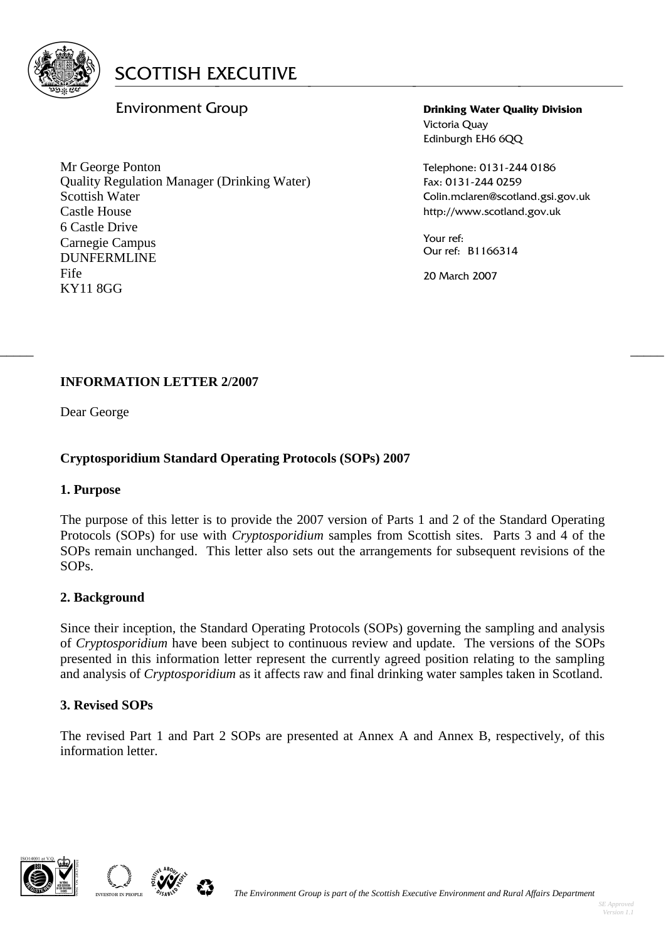

# Environment Group

Mr George Ponton Quality Regulation Manager (Drinking Water) Scottish Water Castle House 6 Castle Drive Carnegie Campus DUNFERMLINE Fife KY11 8GG

**Drinking Water Quality Division** Victoria Quay Edinburgh EH6 6QQ

Telephone: 0131-244 0186 Fax: 0131-244 0259 Colin.mclaren@scotland.gsi.gov.uk http://www.scotland.gov.uk

Your ref: Our ref: B1166314

20 March 2007

## **INFORMATION LETTER 2/2007**

Dear George

## **Cryptosporidium Standard Operating Protocols (SOPs) 2007**

#### **1. Purpose**

The purpose of this letter is to provide the 2007 version of Parts 1 and 2 of the Standard Operating Protocols (SOPs) for use with *Cryptosporidium* samples from Scottish sites. Parts 3 and 4 of the SOPs remain unchanged. This letter also sets out the arrangements for subsequent revisions of the SOPs.

 $\frac{1}{2}$  , the contribution of the contribution of the contribution of the contribution of the contribution of the contribution of the contribution of the contribution of the contribution of the contribution of the contr

#### **2. Background**

Since their inception, the Standard Operating Protocols (SOPs) governing the sampling and analysis of *Cryptosporidium* have been subject to continuous review and update. The versions of the SOPs presented in this information letter represent the currently agreed position relating to the sampling and analysis of *Cryptosporidium* as it affects raw and final drinking water samples taken in Scotland.

#### **3. Revised SOPs**

The revised Part 1 and Part 2 SOPs are presented at Annex A and Annex B, respectively, of this information letter.